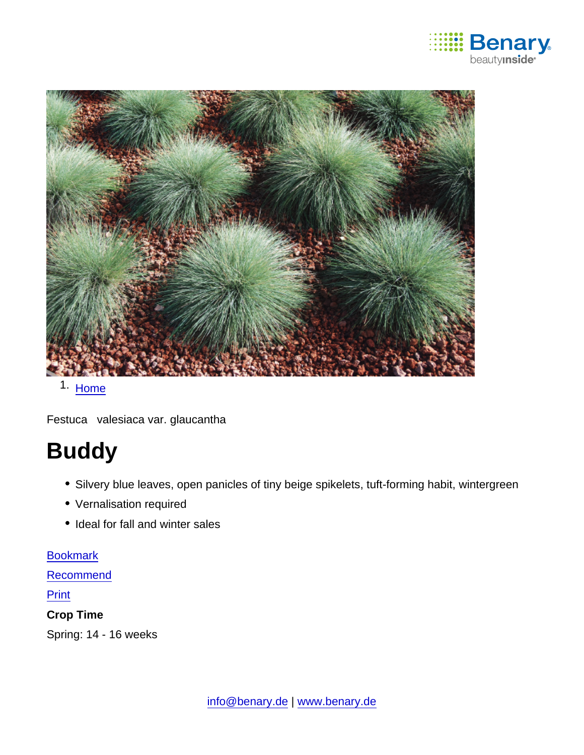

### 1. [Home](https://www.benary.com/)

Festuca valesiaca var. glaucantha

# Buddy

- Silvery blue leaves, open panicles of tiny beige spikelets, tuft-forming habit, wintergreen
- Vernalisation required
- Ideal for fall and winter sales

## [Bookmark](https://www.benary.com/flag/flag/product/5898?destination&token=Z1KZijOyxld9Su9d1LB7qz3ubGqYwsnHjFbFJdk9wpw)

[Recommend](mailto:?subject=Benary Festuca valesiaca var. glaucantha &body=https://www.benary.com/print/pdf/node/5898)

**Print** 

Crop Time

Spring: 14 - 16 weeks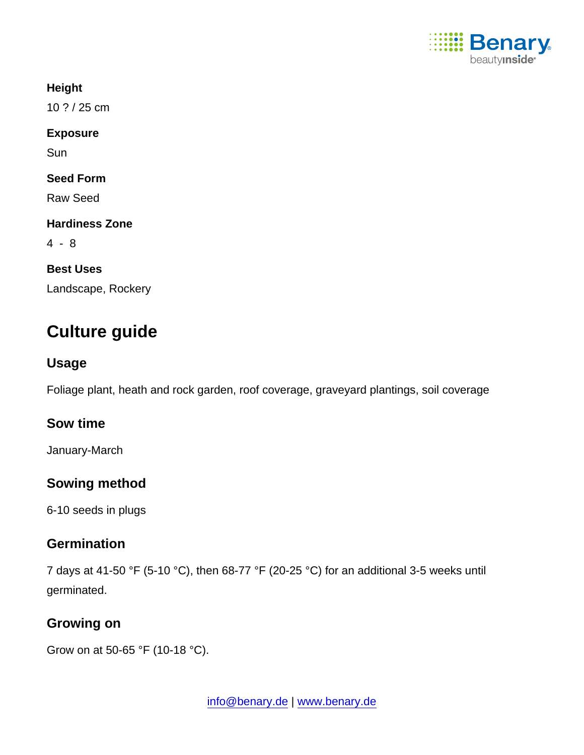

**Height** 

10 ? / 25 cm

Exposure

Sun

Seed Form

Raw Seed

Hardiness Zone

4 - 8

Best Uses Landscape, Rockery

### Culture guide

Usage

Foliage plant, heath and rock garden, roof coverage, graveyard plantings, soil coverage

Sow time

January-March

Sowing method

6-10 seeds in plugs

### **Germination**

7 days at 41-50 °F (5-10 °C), then 68-77 °F (20-25 °C) for an additional 3-5 weeks until germinated.

Growing on

Grow on at 50-65 °F (10-18 °C).